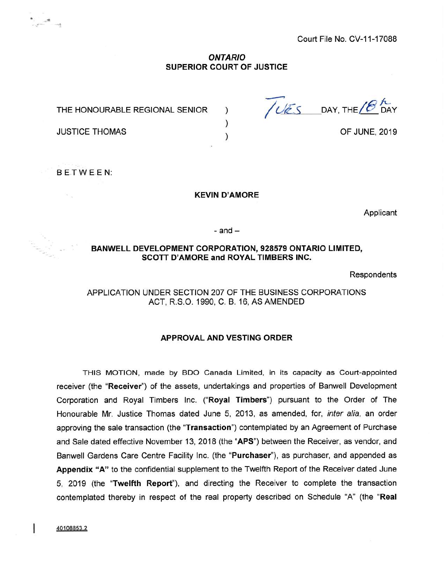Court File No. CV-11-17088

### *ONTARIO* **SUPERIOR COURT OF JUSTICE**

) ) )

THE HONOURABLE REGIONAL SENIOR

JUSTICE THOMAS

 $\begin{array}{c} \bullet \qquad \qquad \bullet \qquad \qquad \bullet \qquad \qquad \bullet \qquad \qquad \bullet \qquad \qquad \bullet \qquad \bullet \qquad \bullet \qquad \bullet \qquad \bullet \qquad \bullet \qquad \bullet \qquad \bullet \qquad \bullet \qquad \bullet \qquad \bullet \qquad \bullet \qquad \bullet \qquad \bullet \qquad \bullet \qquad \bullet \qquad \bullet \qquad \bullet \qquad \bullet \qquad \bullet \qquad \bullet \qquad \bullet \qquad \bullet \qquad \bullet \qquad \bullet \qquad \bullet \qquad \bullet \qquad \bullet \qquad \bullet \qquad \bullet \qquad \bullet \qquad \bullet \qquad \bullet \qquad \bullet \qquad \bullet \$ 

 $\sqrt{\frac{VES}{DAY}}$  DAY, THE  $/8$  DAY

OF JUNE, 2019

BETWEEN:

 $\sim$ 

#### **KEVIN D'AMORE**

Applicant

 $-$  and  $-$ 

#### **BANWELL DEVELOPMENT CORPORATION, 928579 ONTARIO LIMITED, SCOTT D'AMORE and ROYAL TIMBERS INC.**

Respondents

## APPLICATION UNDER SECTION 207 OF THE BUSINESS CORPORATIONS ACT, R.S.O. 1990, C. B. 16, AS AMENDED

### **APPROVAL AND VESTING ORDER**

THIS MOTION, made by BDO Canada Limited, in its capacity as Court-appointed receiver (the **"Receiver")** of the assets, undertakings and properties of Banwell Development Corporation and Royal Timbers Inc. **("Royal Timbers")** pursuant to the Order of The Honourable Mr. Justice Thomas dated June 5, 2013, as amended, for, *inter alia,* an order approving the sale transaction (the **"Transaction")** contemplated by an Agreement of Purchase and Sale dated effective November 13, 2018 (the **"APS")** between the Receiver, as vendor, and Banwell Gardens Care Centre Facility Inc. (the **"Purchaser"),** as purchaser, and appended as **Appendix "A"** to the confidential supplement to the Twelfth Report of the Receiver dated June 5, 2019 (the **"Twelfth Report"),** and directing the Receiver to complete the transaction contemplated thereby in respect of the real property described on Schedule "A" (the **"Real**

40108853.2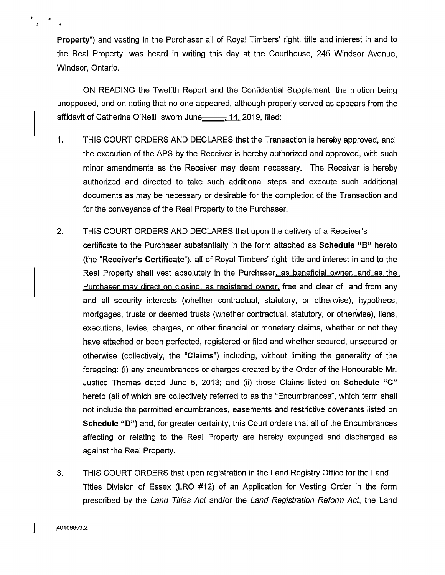**Property")** and vesting in the Purchaser all of Royal Timbers' right, title and interest in and to the Real Property, was heard in writing this day at the Courthouse, 245 Windsor Avenue, Windsor, Ontario.

ON READING the Twelfth Report and the Confidential Supplement, the motion being unopposed, and on noting that no one appeared, although properly served as appears from the affidavit of Catherine O'Neill sworn June 14, 2019, filed:

- 1. THIS COURT ORDERS AND DECLARES that the Transaction is hereby approved, and the execution of the APS by the Receiver is hereby authorized and approved, with such minor amendments as the Receiver may deem necessary. The Receiver is hereby authorized and directed to take such additional steps and execute such additional documents as may be necessary or desirable for the completion of the Transaction and for the conveyance of the Real Property to the Purchaser.
- 2. THIS COURT ORDERS AND DECLARES that upon the delivery of a Receiver's certificate to the Purchaser substantially in the form attached as **Schedule "B"** hereto (the **"Receiver's Certificate"),** all of Royal Timbers' right, title and interest in and to the Real Property shall vest absolutely in the Purchaser, as beneficial owner, and as the Purchaser may direct on closing, as registered owner, free and clear of and from any and all security interests (whether contractual, statutory, or otherwise), hypothecs, mortgages, trusts or deemed trusts (whether contractual, statutory, or otherwise), liens, executions, levies, charges, or other financial or monetary claims, whether or not they have attached or been perfected, registered or filed and whether secured, unsecured or otherwise (collectively, the **"Claims")** including, without limiting the generality of the foregoing: (i) any encumbrances or charges created by the Order of the Honourable Mr. Justice Thomas dated June 5, 2013; and (ii) those Claims listed on **Schedule "C"** hereto (all of which are collectively referred to as the "Encumbrances", which term shall not include the permitted encumbrances, easements and restrictive covenants listed on **Schedule "D")** and, for greater certainty, this Court orders that all of the Encumbrances affecting or relating to the Real Property are hereby expunged and discharged as against the Real Property.
- 3. THIS COURT ORDERS that upon registration in the Land Registry Office for the Land Titles Division of Essex (LRO #12) of an Application for Vesting Order in the form prescribed by the *Land Titles Act* and/or the *Land Registration Reform Act*, the Land

**40108853.2**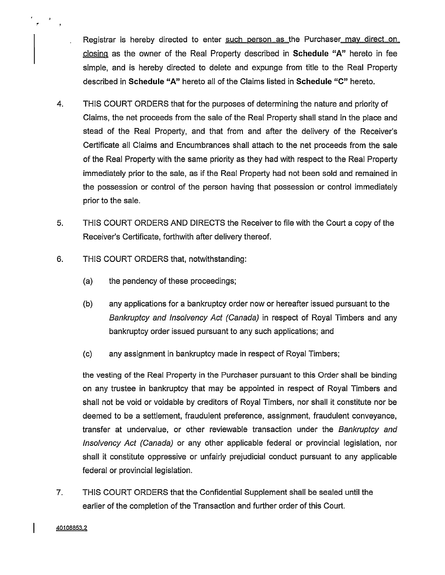Registrar is hereby directed to enter such person as the Purchaser may direct on closing as the owner of the Real Property described in **Schedule "A"** hereto in fee simple, and is hereby directed to delete and expunge from title to the Real Property described in **Schedule "A"** hereto all of the Claims listed in **Schedule "C"** hereto.

- 4. THIS COURT ORDERS that for the purposes of determining the nature and priority of Claims, the net proceeds from the sale of the Real Property shall stand in the place and stead of the Real Property, and that from and after the delivery of the Receiver's Certificate all Claims and Encumbrances shall attach to the net proceeds from the sale of the Real Property with the same priority as they had with respect to the Real Property immediately prior to the sale, as if the Real Property had not been sold and remained in the possession or control of the person having that possession or control immediately prior to the sale.
- 5. THIS COURT ORDERS AND DIRECTS the Receiver to file with the Court a copy of the Receiver's Certificate, forthwith after delivery thereof.
- 6. THIS COURT ORDERS that, notwithstanding:
	- (a) the pendency of these proceedings;
	- (b) any applications for a bankruptcy order now or hereafter issued pursuant to the *Bankruptcy and Insolvency Act (Canada)* in respect of Royal Timbers and any bankruptcy order issued pursuant to any such applications; and
	- (c) any assignment in bankruptcy made in respect of Royal Timbers;

the vesting of the Real Property in the Purchaser pursuant to this Order shall be binding on any trustee in bankruptcy that may be appointed in respect of Royal Timbers and shall not be void or voidable by creditors of Royal Timbers, nor shall it constitute nor be deemed to be a settlement, fraudulent preference, assignment, fraudulent conveyance, transfer at undervalue, or other reviewable transaction under the *Bankruptcy and Insolvency Act (Canada)* or any other applicable federal or provincial legislation, nor shall it constitute oppressive or unfairly prejudicial conduct pursuant to any applicable federal or provincial legislation.

7. THIS COURT ORDERS that the Confidential Supplement shall be sealed until the earlier of the completion of the Transaction and further order of this Court.

**40108853.2**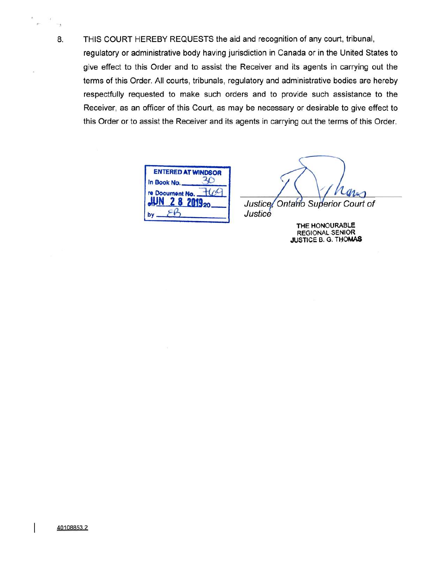8**.** THIS COURT HEREBY REQUESTS the aid and recognition of any court, tribunal, regulatory or administrative body having jurisdiction in Canada or in the United States to give effect to this Order and to assist the Receiver and its agents in carrying out the terms of this Order. All courts, tribunals, regulatory and administrative bodies are hereby respectfully requested to make such orders and to provide such assistance to the Receiver, as an officer of this Court, as may be necessary or desirable to give effect to this Order or to assist the Receiver and its agents in carrying out the terms of this Order.

|                 | <b>ENTERED AT WINDSOR</b> |
|-----------------|---------------------------|
| In Book No.     |                           |
| re Document No. | 2019 <sub>20</sub>        |
|                 |                           |

Justice, Ontario Superior Court of Justice

> THE HONOURABLE REGIONAL SENIOR JUSTICE B. G. THOMAS

I

 $^{-1}$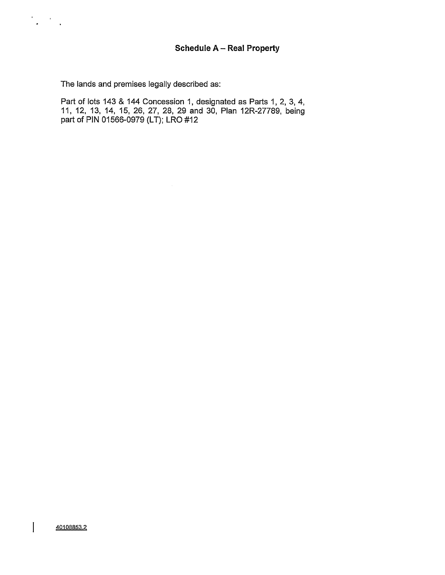# **Schedule <sup>A</sup> - Real Property**

The lands and premises legally described as:

Part of lots 143 & 144 Concession 1, designated as Parts 1, 2, 3, 4, 11, 12, 13, 14, 15, 26, 27, 28, 29 and 30, Plan 12R-27789, being part of PIN 01566-0979 (LT); LRO #12

 $\vert$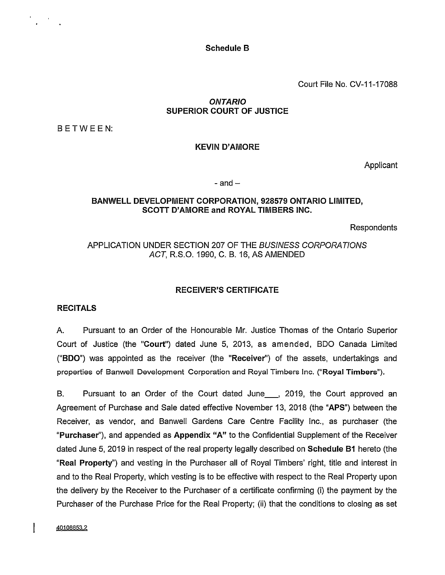Schedule B

Court File No. CV-11-17088

## *ONTARIO* SUPERIOR COURT OF JUSTICE

BETWEEN:

#### KEVIN D'AMORE

Applicant

#### $-$  and  $-$

### BANWELL DEVELOPMENT CORPORATION, 928579 ONTARIO LIMITED, SCOTT D'AMORE and ROYAL TIMBERS INC.

**Respondents** 

# APPLICATION UNDER SECTION 207 OF THE *BUSINESS CORPORATIONS ACT,* R.S.O. 1990, C. B. 16, AS AMENDED

### RECEIVER'S CERTIFICATE

### RECITALS

A. Pursuant to an Order of the Honourable Mr. Justice Thomas of the Ontario Superior Court of Justice (the "Court") dated June 5, 2013, as amended, BDO Canada Limited ("BDO") was appointed as the receiver (the "Receiver") of the assets, undertakings and properties of Banwell Development Corporation and Royal Timbers Inc. ("Royal Timbers").

B. Pursuant to an Order of the Court dated June\_\_\_, 2019, the Court approved an Agreement of Purchase and Sale dated effective November 13, 2018 (the "APS") between the Receiver, as vendor, and Banwell Gardens Care Centre Facility Inc., as purchaser (the "Purchaser"), and appended as Appendix "A" to the Confidential Supplement of the Receiver dated June 5, 2019 in respect of the real property legally described on Schedule B1 hereto (the "Real Property") and vesting in the Purchaser all of Royal Timbers' right, title and interest in and to the Real Property, which vesting is to be effective with respect to the Real Property upon the delivery by the Receiver to the Purchaser of a certificate confirming (i) the payment by the Purchaser of the Purchase Price for the Real Property; (ii) that the conditions to closing as set

**40108853.2**

 $\mathsf{l}$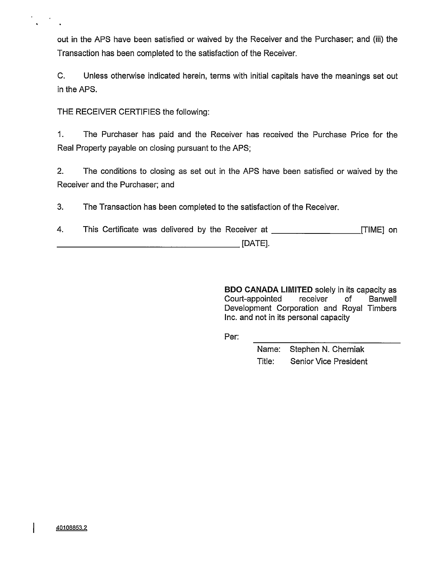out in the APS have been satisfied or waived by the Receiver and the Purchaser; and (iii) the Transaction has been completed to the satisfaction of the Receiver.

C. Unless otherwise indicated herein, terms with initial capitals have the meanings set out in the APS.

THE RECEIVER CERTIFIES the following:

1. The Purchaser has paid and the Receiver has received the Purchase Price for the Real Property payable on closing pursuant to the APS;

2. The conditions to closing as set out in the APS have been satisfied or waived by the Receiver and the Purchaser; and

3. The Transaction has been completed to the satisfaction of the Receiver.

4. This Certificate was delivered by the Receiver at \_\_\_\_\_\_\_\_\_\_\_\_\_\_\_\_\_\_\_\_\_\_\_\_\_\_\_\_  $[DATE]$ .

> BDO CANADA LIMITED solely in its capacity as Court-appointed receiver of Banwell Development Corporation and Royal Timbers Inc. and not in its personal capacity

Per:

Name: Stephen N. Cherniak Title: Senior Vice President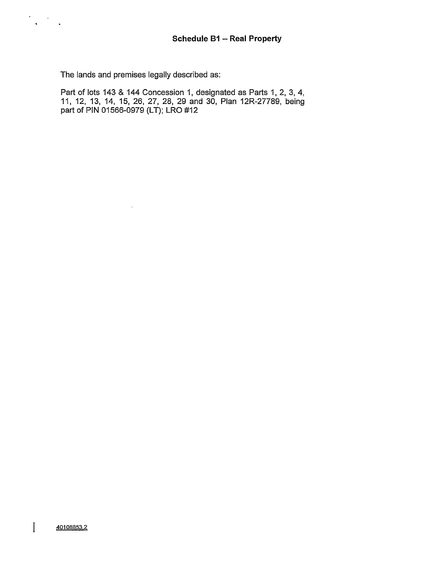The lands and premises legally described as:

 $\sim$ 

 $\frac{1}{2} \sum_{i=1}^n \frac{1}{2} \sum_{j=1}^n \frac{1}{2} \sum_{j=1}^n \frac{1}{2} \sum_{j=1}^n \frac{1}{2} \sum_{j=1}^n \frac{1}{2} \sum_{j=1}^n \frac{1}{2} \sum_{j=1}^n \frac{1}{2} \sum_{j=1}^n \frac{1}{2} \sum_{j=1}^n \frac{1}{2} \sum_{j=1}^n \frac{1}{2} \sum_{j=1}^n \frac{1}{2} \sum_{j=1}^n \frac{1}{2} \sum_{j=1}^n \frac{1}{2} \sum_{j=$ 

Part of lots 143 & 144 Concession 1, designated as Parts 1, 2, 3, 4, 11, 12, 13, 14, 15, 26, 27, 28, 29 and 30, Plan 12R-27789, being part of PIN 01566-0979 (LT); LRO #12

 $\mathbf{I}$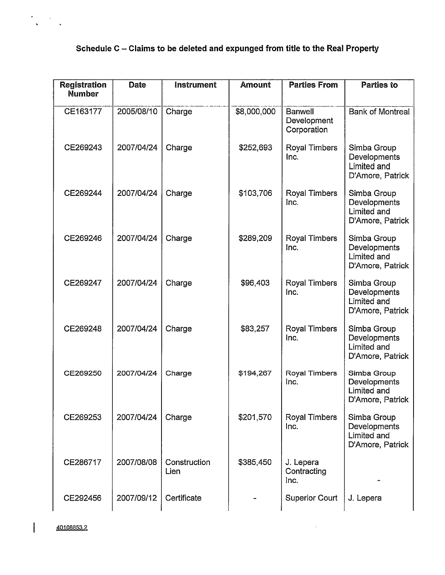# **Schedule <sup>C</sup> - Claims to be deleted and expunged from title to the Real Property**

| <b>Registration</b><br><b>Number</b> | Date       | <b>Instrument</b>    | <b>Amount</b> | <b>Parties From</b>                          | <b>Parties to</b>                                              |  |
|--------------------------------------|------------|----------------------|---------------|----------------------------------------------|----------------------------------------------------------------|--|
| CE163177                             | 2005/08/10 | Charge               | \$8,000,000   | <b>Banwell</b><br>Development<br>Corporation | <b>Bank of Montreal</b>                                        |  |
| CE269243                             | 2007/04/24 | Charge               | \$252,693     | Royal Timbers<br>Inc.                        | Simba Group<br>Developments<br>Limited and<br>D'Amore, Patrick |  |
| CE269244                             | 2007/04/24 | Charge               | \$103,706     | Royal Timbers<br>Inc.                        | Simba Group<br>Developments<br>Limited and<br>D'Amore, Patrick |  |
| CE269246                             | 2007/04/24 | Charge               | \$289,209     | Royal Timbers<br>Inc.                        | Simba Group<br>Developments<br>Limited and<br>D'Amore, Patrick |  |
| CE269247                             | 2007/04/24 | Charge               | \$96,403      | <b>Royal Timbers</b><br>Inc.                 | Simba Group<br>Developments<br>Limited and<br>D'Amore, Patrick |  |
| CE269248                             | 2007/04/24 | Charge               | \$83,257      | Royal Timbers<br>Inc.                        | Simba Group<br>Developments<br>Limited and<br>D'Amore, Patrick |  |
| CE269250                             | 2007/04/24 | Charge               | \$194,267     | Royal Timbers<br>Inc.                        | Simba Group<br>Developments<br>Limited and<br>D'Amore, Patrick |  |
| CE269253                             | 2007/04/24 | Charge               | \$201,570     | <b>Royal Timbers</b><br>Inc.                 | Simba Group<br>Developments<br>Limited and<br>D'Amore, Patrick |  |
| CE286717                             | 2007/08/08 | Construction<br>Lien | \$385,450     | J. Lepera<br>Contracting<br>Inc.             |                                                                |  |
| CE292456                             | 2007/09/12 | Certificate          |               | <b>Superior Court</b>                        | J. Lepera                                                      |  |

 $\mathcal{L}$ 

**40108853.2**

 $\overline{\phantom{a}}$ 

 $\frac{1}{\sqrt{2}}$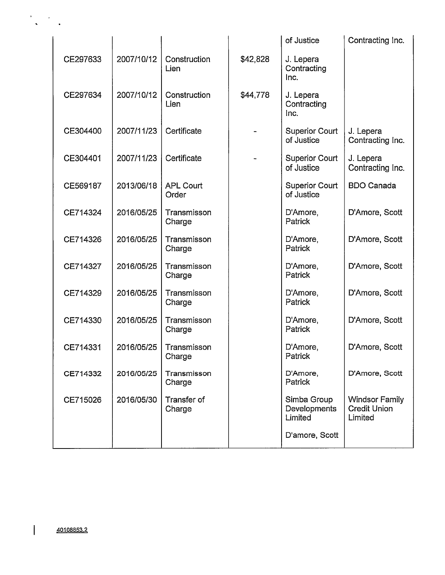|          |            |                           |          | of Justice                                               | Contracting Inc.                                        |  |
|----------|------------|---------------------------|----------|----------------------------------------------------------|---------------------------------------------------------|--|
| CE297633 | 2007/10/12 | Construction<br>Lien      | \$42,828 | J. Lepera<br>Contracting<br>Inc.                         |                                                         |  |
| CE297634 | 2007/10/12 | Construction<br>Lien      | \$44,778 | J. Lepera<br>Contracting<br>Inc.                         |                                                         |  |
| CE304400 | 2007/11/23 | Certificate               |          | <b>Superior Court</b><br>of Justice                      | J. Lepera<br>Contracting Inc.                           |  |
| CE304401 | 2007/11/23 | Certificate               |          | <b>Superior Court</b><br>of Justice                      | J. Lepera<br>Contracting Inc.                           |  |
| CE569187 | 2013/06/18 | <b>APL Court</b><br>Order |          | <b>Superior Court</b><br>of Justice                      | <b>BDO Canada</b>                                       |  |
| CE714324 | 2016/05/25 | Transmisson<br>Charge     |          | D'Amore,<br>Patrick                                      | D'Amore, Scott                                          |  |
| CE714326 | 2016/05/25 | Transmisson<br>Charge     |          | D'Amore,<br>Patrick                                      | D'Amore, Scott                                          |  |
| CE714327 | 2016/05/25 | Transmisson<br>Charge     |          | D'Amore,<br>Patrick                                      | D'Amore, Scott                                          |  |
| CE714329 | 2016/05/25 | Transmisson<br>Charge     |          | D'Amore,<br>Patrick                                      | D'Amore, Scott                                          |  |
| CE714330 | 2016/05/25 | Transmisson<br>Charge     |          | D'Amore,<br>Patrick                                      | D'Amore, Scott                                          |  |
| CE714331 | 2016/05/25 | Transmisson<br>Charge     |          | D'Amore,<br>Patrick                                      | D'Amore, Scott                                          |  |
| CE714332 | 2016/05/25 | Transmisson<br>Charge     |          | D'Amore,<br><b>Patrick</b>                               | D'Amore, Scott                                          |  |
| CE715026 | 2016/05/30 | Transfer of<br>Charge     |          | Simba Group<br>Developments<br>Limited<br>D'amore, Scott | <b>Windsor Family</b><br><b>Credit Union</b><br>Limited |  |
|          |            |                           |          |                                                          |                                                         |  |

l

 $\frac{1}{\sqrt{2}}\sum_{i=1}^{n} \frac{1}{\sqrt{2}}\sum_{i=1}^{n} \frac{1}{\sqrt{2}}\sum_{i=1}^{n} \frac{1}{\sqrt{2}}\sum_{i=1}^{n} \frac{1}{\sqrt{2}}\sum_{i=1}^{n} \frac{1}{\sqrt{2}}\sum_{i=1}^{n} \frac{1}{\sqrt{2}}\sum_{i=1}^{n} \frac{1}{\sqrt{2}}\sum_{i=1}^{n} \frac{1}{\sqrt{2}}\sum_{i=1}^{n} \frac{1}{\sqrt{2}}\sum_{i=1}^{n} \frac{1}{\sqrt{2}}\sum_{i=1}^{n}$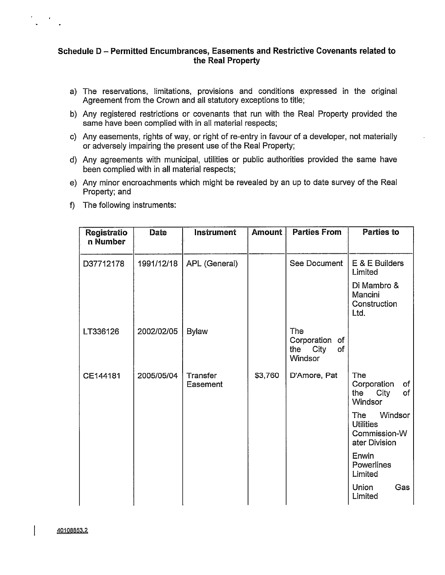# **Schedule <sup>D</sup> - Permitted Encumbrances, Easements and Restrictive Covenants related to the Real Property**

- a) The reservations, limitations, provisions and conditions expressed in the original Agreement from the Crown and all statutory exceptions to title;
- b) Any registered restrictions or covenants that run with the Real Property provided the same have been complied with in all material respects;
- c) Any easements, rights of way, or right of re-entry in favour of a developer, not materially or adversely impairing the present use of the Real Property;
- d) Any agreements with municipal, utilities or public authorities provided the same have been complied with in all material respects;
- e) Any minor encroachments which might be revealed by an up to date survey of the Real Property; and
- f) The following instruments:

| Registratio<br>n Number | Date       | Instrument           | Amount  | <b>Parties From</b>                                          | Parties to                                                          |  |
|-------------------------|------------|----------------------|---------|--------------------------------------------------------------|---------------------------------------------------------------------|--|
| D37712178               | 1991/12/18 | APL (General)        |         | See Document                                                 | E & E Builders<br>Limited                                           |  |
|                         |            |                      |         |                                                              | Di Mambro &<br>Mancini<br>Construction<br>Ltd.                      |  |
| LT336126                | 2002/02/05 | <b>Bylaw</b>         |         | The<br>Corporation of<br>the<br>City<br>of<br><b>Windsor</b> |                                                                     |  |
| CE144181                | 2005/05/04 | Transfer<br>Easement | \$3,760 | D'Amore, Pat                                                 | The<br>Corporation<br>of<br>the City<br>of<br>Windsor               |  |
|                         |            |                      |         |                                                              | Windsor<br>The<br><b>Utilities</b><br>Commission-W<br>ater Division |  |
|                         |            |                      |         |                                                              | Enwin<br>Powerlines<br>Limited                                      |  |
|                         |            |                      |         |                                                              | Union<br>Gas<br>Limited                                             |  |

 $\mathsf{l}$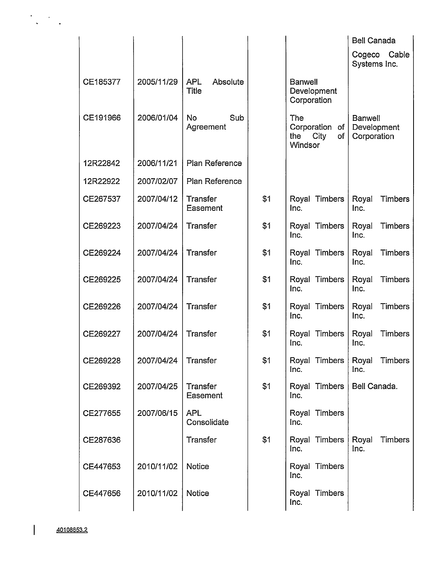|          |                       |                                        |     |                                                       | <b>Bell Canada</b>                           |  |
|----------|-----------------------|----------------------------------------|-----|-------------------------------------------------------|----------------------------------------------|--|
|          |                       |                                        |     |                                                       | Cable<br>Cogeco<br>Systems Inc.              |  |
| CE185377 | 2005/11/29            | <b>APL</b><br>Absolute<br><b>Title</b> |     | <b>Banwell</b><br>Development<br>Corporation          |                                              |  |
| CE191966 | 2006/01/04            | <b>No</b><br>Sub<br>Agreement          |     | The<br>Corporation of<br>the<br>City<br>of<br>Windsor | <b>Banwell</b><br>Development<br>Corporation |  |
| 12R22842 | 2006/11/21            | Plan Reference                         |     |                                                       |                                              |  |
| 12R22922 | 2007/02/07            | Plan Reference                         |     |                                                       |                                              |  |
| CE267537 | 2007/04/12            | Transfer<br>Easement                   | \$1 | Royal Timbers<br>Inc.                                 | Royal<br><b>Timbers</b><br>Inc.              |  |
| CE269223 | 2007/04/24            | Transfer                               | \$1 | Royal Timbers<br>Inc.                                 | Royal<br>Timbers<br>Inc.                     |  |
| CE269224 | 2007/04/24            | Transfer                               | \$1 | Royal Timbers<br>Inc.                                 | Royal<br><b>Timbers</b><br>Inc.              |  |
| CE269225 | 2007/04/24            | Transfer                               | \$1 | Royal Timbers<br>Inc.                                 | Royal<br><b>Timbers</b><br>Inc.              |  |
| CE269226 | 2007/04/24            | Transfer                               | \$1 | Royal Timbers<br>Inc.                                 | <b>Timbers</b><br>Royal<br>Inc.              |  |
| CE269227 | 2007/04/24            | Transfer                               | \$1 | Royal Timbers<br>Inc.                                 | Timbers<br>Royal<br>Inc.                     |  |
| CE269228 | 2007/04/24   Transfer |                                        | \$1 | Royal Timbers   Royal<br>Inc.                         | Timbers<br>Inc.                              |  |
| CE269392 | 2007/04/25            | Transfer<br>Easement                   | \$1 | Royal Timbers<br>Inc.                                 | Bell Canada.                                 |  |
| CE277655 | 2007/06/15            | <b>APL</b><br>Consolidate              |     | Royal Timbers<br>Inc.                                 |                                              |  |
| CE287636 |                       | Transfer                               | \$1 | Royal Timbers<br>Inc.                                 | Royal<br><b>Timbers</b><br>Inc.              |  |
| CE447653 | 2010/11/02            | Notice                                 |     | Royal Timbers<br>Inc.                                 |                                              |  |
| CE447656 | 2010/11/02            | <b>Notice</b>                          |     | Royal Timbers<br>Inc.                                 |                                              |  |
|          |                       |                                        |     |                                                       |                                              |  |

 $\overline{\phantom{a}}$ 

 $\bullet$ 

 $\ddot{\phantom{a}}$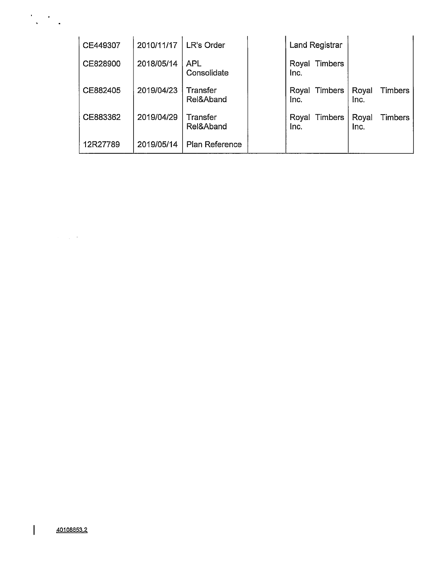| CE449307 | 2010/11/17 | LR's Order                |      | <b>Land Registrar</b> |               |                |
|----------|------------|---------------------------|------|-----------------------|---------------|----------------|
| CE828900 | 2018/05/14 | <b>APL</b><br>Consolidate | Inc. | Royal Timbers         |               |                |
| CE882405 | 2019/04/23 | Transfer<br>Rel&Aband     | Inc. | Royal Timbers         | Royal<br>Inc. | <b>Timbers</b> |
| CE883362 | 2019/04/29 | Transfer<br>Rel&Aband     | Inc. | Royal Timbers         | Royal<br>Inc. | Timbers        |
| 12R27789 | 2019/05/14 | Plan Reference            |      |                       |               |                |

 $\begin{array}{c} \end{array}$ 

 $\label{eq:2} \mathcal{L}(\mathcal{A}) = \mathcal{L}(\mathcal{A}) \mathcal{L}(\mathcal{A}) = \mathcal{L}(\mathcal{A})$ 

 $\frac{1}{2} \sum_{i=1}^{n} \frac{1}{2} \sum_{j=1}^{n} \frac{1}{2} \sum_{j=1}^{n} \frac{1}{2} \sum_{j=1}^{n} \frac{1}{2} \sum_{j=1}^{n} \frac{1}{2} \sum_{j=1}^{n} \frac{1}{2} \sum_{j=1}^{n} \frac{1}{2} \sum_{j=1}^{n} \frac{1}{2} \sum_{j=1}^{n} \frac{1}{2} \sum_{j=1}^{n} \frac{1}{2} \sum_{j=1}^{n} \frac{1}{2} \sum_{j=1}^{n} \frac{1}{2} \sum_{j=1}^{n$